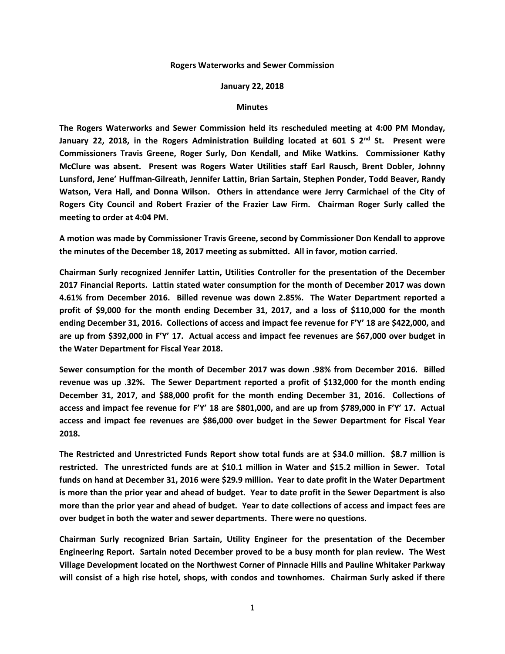## **Rogers Waterworks and Sewer Commission**

## **January 22, 2018**

## **Minutes**

**The Rogers Waterworks and Sewer Commission held its rescheduled meeting at 4:00 PM Monday, January 22, 2018, in the Rogers Administration Building located at 601 S 2nd St. Present were Commissioners Travis Greene, Roger Surly, Don Kendall, and Mike Watkins. Commissioner Kathy McClure was absent. Present was Rogers Water Utilities staff Earl Rausch, Brent Dobler, Johnny Lunsford, Jene' Huffman-Gilreath, Jennifer Lattin, Brian Sartain, Stephen Ponder, Todd Beaver, Randy Watson, Vera Hall, and Donna Wilson. Others in attendance were Jerry Carmichael of the City of Rogers City Council and Robert Frazier of the Frazier Law Firm. Chairman Roger Surly called the meeting to order at 4:04 PM.**

**A motion was made by Commissioner Travis Greene, second by Commissioner Don Kendall to approve the minutes of the December 18, 2017 meeting as submitted. All in favor, motion carried.**

**Chairman Surly recognized Jennifer Lattin, Utilities Controller for the presentation of the December 2017 Financial Reports. Lattin stated water consumption for the month of December 2017 was down 4.61% from December 2016. Billed revenue was down 2.85%. The Water Department reported a profit of \$9,000 for the month ending December 31, 2017, and a loss of \$110,000 for the month ending December 31, 2016. Collections of access and impact fee revenue for F'Y' 18 are \$422,000, and are up from \$392,000 in F'Y' 17. Actual access and impact fee revenues are \$67,000 over budget in the Water Department for Fiscal Year 2018.**

**Sewer consumption for the month of December 2017 was down .98% from December 2016. Billed revenue was up .32%. The Sewer Department reported a profit of \$132,000 for the month ending December 31, 2017, and \$88,000 profit for the month ending December 31, 2016. Collections of access and impact fee revenue for F'Y' 18 are \$801,000, and are up from \$789,000 in F'Y' 17. Actual access and impact fee revenues are \$86,000 over budget in the Sewer Department for Fiscal Year 2018.**

**The Restricted and Unrestricted Funds Report show total funds are at \$34.0 million. \$8.7 million is restricted. The unrestricted funds are at \$10.1 million in Water and \$15.2 million in Sewer. Total funds on hand at December 31, 2016 were \$29.9 million. Year to date profit in the Water Department is more than the prior year and ahead of budget. Year to date profit in the Sewer Department is also more than the prior year and ahead of budget. Year to date collections of access and impact fees are over budget in both the water and sewer departments. There were no questions.**

**Chairman Surly recognized Brian Sartain, Utility Engineer for the presentation of the December Engineering Report. Sartain noted December proved to be a busy month for plan review. The West Village Development located on the Northwest Corner of Pinnacle Hills and Pauline Whitaker Parkway will consist of a high rise hotel, shops, with condos and townhomes. Chairman Surly asked if there**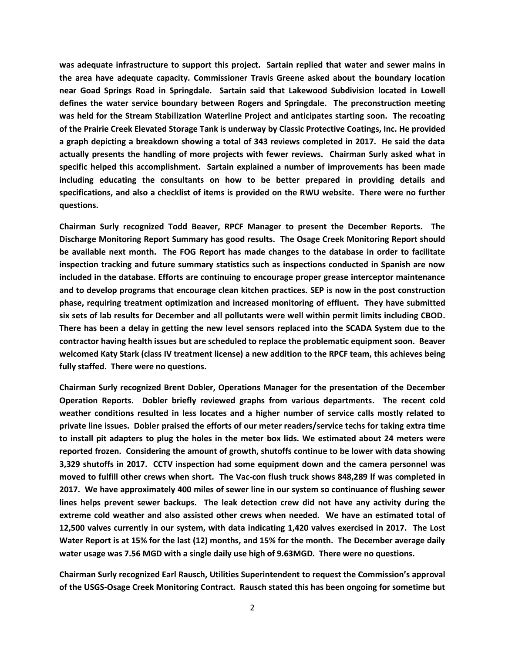**was adequate infrastructure to support this project. Sartain replied that water and sewer mains in the area have adequate capacity. Commissioner Travis Greene asked about the boundary location near Goad Springs Road in Springdale. Sartain said that Lakewood Subdivision located in Lowell defines the water service boundary between Rogers and Springdale. The preconstruction meeting was held for the Stream Stabilization Waterline Project and anticipates starting soon. The recoating of the Prairie Creek Elevated Storage Tank is underway by Classic Protective Coatings, Inc. He provided a graph depicting a breakdown showing a total of 343 reviews completed in 2017. He said the data actually presents the handling of more projects with fewer reviews. Chairman Surly asked what in specific helped this accomplishment. Sartain explained a number of improvements has been made including educating the consultants on how to be better prepared in providing details and specifications, and also a checklist of items is provided on the RWU website. There were no further questions.**

**Chairman Surly recognized Todd Beaver, RPCF Manager to present the December Reports. The Discharge Monitoring Report Summary has good results. The Osage Creek Monitoring Report should be available next month. The FOG Report has made changes to the database in order to facilitate inspection tracking and future summary statistics such as inspections conducted in Spanish are now included in the database. Efforts are continuing to encourage proper grease interceptor maintenance and to develop programs that encourage clean kitchen practices. SEP is now in the post construction phase, requiring treatment optimization and increased monitoring of effluent. They have submitted six sets of lab results for December and all pollutants were well within permit limits including CBOD. There has been a delay in getting the new level sensors replaced into the SCADA System due to the contractor having health issues but are scheduled to replace the problematic equipment soon. Beaver welcomed Katy Stark (class IV treatment license) a new addition to the RPCF team, this achieves being fully staffed. There were no questions.**

**Chairman Surly recognized Brent Dobler, Operations Manager for the presentation of the December Operation Reports. Dobler briefly reviewed graphs from various departments. The recent cold weather conditions resulted in less locates and a higher number of service calls mostly related to private line issues. Dobler praised the efforts of our meter readers/service techs for taking extra time to install pit adapters to plug the holes in the meter box lids. We estimated about 24 meters were reported frozen. Considering the amount of growth, shutoffs continue to be lower with data showing 3,329 shutoffs in 2017. CCTV inspection had some equipment down and the camera personnel was moved to fulfill other crews when short. The Vac-con flush truck shows 848,289 lf was completed in 2017. We have approximately 400 miles of sewer line in our system so continuance of flushing sewer lines helps prevent sewer backups. The leak detection crew did not have any activity during the extreme cold weather and also assisted other crews when needed. We have an estimated total of 12,500 valves currently in our system, with data indicating 1,420 valves exercised in 2017. The Lost Water Report is at 15% for the last (12) months, and 15% for the month. The December average daily water usage was 7.56 MGD with a single daily use high of 9.63MGD. There were no questions.**

**Chairman Surly recognized Earl Rausch, Utilities Superintendent to request the Commission's approval of the USGS-Osage Creek Monitoring Contract. Rausch stated this has been ongoing for sometime but**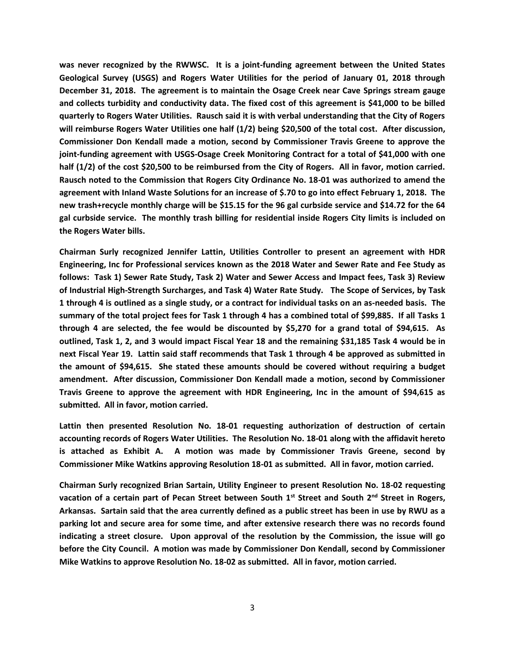**was never recognized by the RWWSC. It is a joint-funding agreement between the United States Geological Survey (USGS) and Rogers Water Utilities for the period of January 01, 2018 through December 31, 2018. The agreement is to maintain the Osage Creek near Cave Springs stream gauge and collects turbidity and conductivity data. The fixed cost of this agreement is \$41,000 to be billed quarterly to Rogers Water Utilities. Rausch said it is with verbal understanding that the City of Rogers will reimburse Rogers Water Utilities one half (1/2) being \$20,500 of the total cost. After discussion, Commissioner Don Kendall made a motion, second by Commissioner Travis Greene to approve the joint-funding agreement with USGS-Osage Creek Monitoring Contract for a total of \$41,000 with one half (1/2) of the cost \$20,500 to be reimbursed from the City of Rogers. All in favor, motion carried. Rausch noted to the Commission that Rogers City Ordinance No. 18-01 was authorized to amend the agreement with Inland Waste Solutions for an increase of \$.70 to go into effect February 1, 2018. The new trash+recycle monthly charge will be \$15.15 for the 96 gal curbside service and \$14.72 for the 64 gal curbside service. The monthly trash billing for residential inside Rogers City limits is included on the Rogers Water bills.**

**Chairman Surly recognized Jennifer Lattin, Utilities Controller to present an agreement with HDR Engineering, Inc for Professional services known as the 2018 Water and Sewer Rate and Fee Study as follows: Task 1) Sewer Rate Study, Task 2) Water and Sewer Access and Impact fees, Task 3) Review of Industrial High-Strength Surcharges, and Task 4) Water Rate Study. The Scope of Services, by Task 1 through 4 is outlined as a single study, or a contract for individual tasks on an as-needed basis. The summary of the total project fees for Task 1 through 4 has a combined total of \$99,885. If all Tasks 1 through 4 are selected, the fee would be discounted by \$5,270 for a grand total of \$94,615. As outlined, Task 1, 2, and 3 would impact Fiscal Year 18 and the remaining \$31,185 Task 4 would be in next Fiscal Year 19. Lattin said staff recommends that Task 1 through 4 be approved as submitted in the amount of \$94,615. She stated these amounts should be covered without requiring a budget amendment. After discussion, Commissioner Don Kendall made a motion, second by Commissioner Travis Greene to approve the agreement with HDR Engineering, Inc in the amount of \$94,615 as submitted. All in favor, motion carried.**

**Lattin then presented Resolution No. 18-01 requesting authorization of destruction of certain accounting records of Rogers Water Utilities. The Resolution No. 18-01 along with the affidavit hereto is attached as Exhibit A. A motion was made by Commissioner Travis Greene, second by Commissioner Mike Watkins approving Resolution 18-01 as submitted. All in favor, motion carried.**

**Chairman Surly recognized Brian Sartain, Utility Engineer to present Resolution No. 18-02 requesting vacation of a certain part of Pecan Street between South 1st Street and South 2nd Street in Rogers, Arkansas. Sartain said that the area currently defined as a public street has been in use by RWU as a parking lot and secure area for some time, and after extensive research there was no records found indicating a street closure. Upon approval of the resolution by the Commission, the issue will go before the City Council. A motion was made by Commissioner Don Kendall, second by Commissioner Mike Watkins to approve Resolution No. 18-02 as submitted. All in favor, motion carried.**